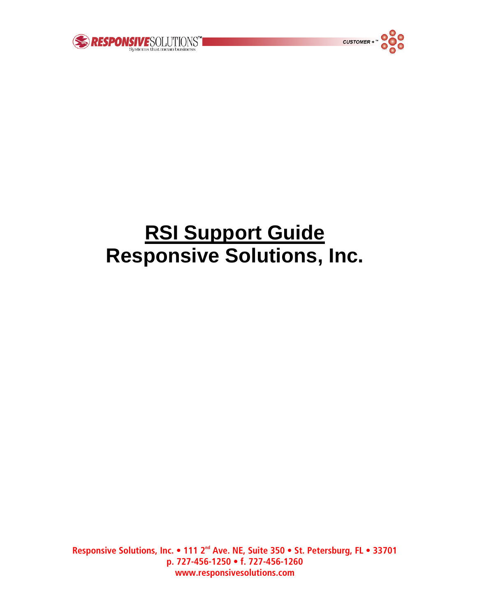



# **RSI Support Guide Responsive Solutions, Inc.**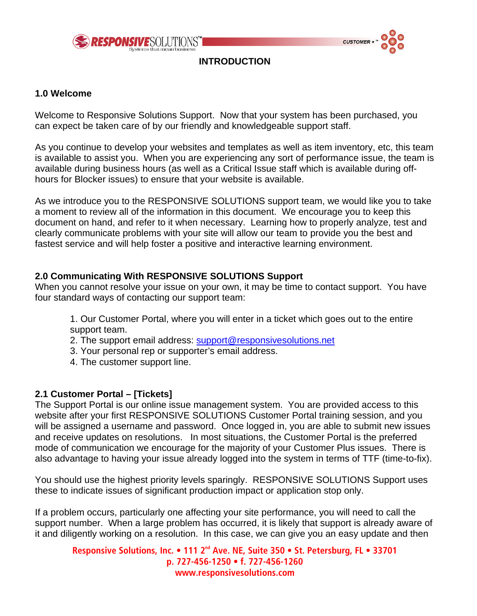



**INTRODUCTION** 

#### **1.0 Welcome**

Welcome to Responsive Solutions Support. Now that your system has been purchased, you can expect be taken care of by our friendly and knowledgeable support staff.

As you continue to develop your websites and templates as well as item inventory, etc, this team is available to assist you. When you are experiencing any sort of performance issue, the team is available during business hours (as well as a Critical Issue staff which is available during offhours for Blocker issues) to ensure that your website is available.

As we introduce you to the RESPONSIVE SOLUTIONS support team, we would like you to take a moment to review all of the information in this document. We encourage you to keep this document on hand, and refer to it when necessary. Learning how to properly analyze, test and clearly communicate problems with your site will allow our team to provide you the best and fastest service and will help foster a positive and interactive learning environment.

#### **2.0 Communicating With RESPONSIVE SOLUTIONS Support**

When you cannot resolve your issue on your own, it may be time to contact support. You have four standard ways of contacting our support team:

1. Our Customer Portal, where you will enter in a ticket which goes out to the entire support team.

- 2. The support email address: [support@responsivesolutions.net](mailto:support@responsivesolutions.net)
- 3. Your personal rep or supporter's email address.
- 4. The customer support line.

#### **2.1 Customer Portal – [Tickets]**

The Support Portal is our online issue management system. You are provided access to this website after your first RESPONSIVE SOLUTIONS Customer Portal training session, and you will be assigned a username and password. Once logged in, you are able to submit new issues and receive updates on resolutions. In most situations, the Customer Portal is the preferred mode of communication we encourage for the majority of your Customer Plus issues. There is also advantage to having your issue already logged into the system in terms of TTF (time-to-fix).

You should use the highest priority levels sparingly. RESPONSIVE SOLUTIONS Support uses these to indicate issues of significant production impact or application stop only.

If a problem occurs, particularly one affecting your site performance, you will need to call the support number. When a large problem has occurred, it is likely that support is already aware of it and diligently working on a resolution. In this case, we can give you an easy update and then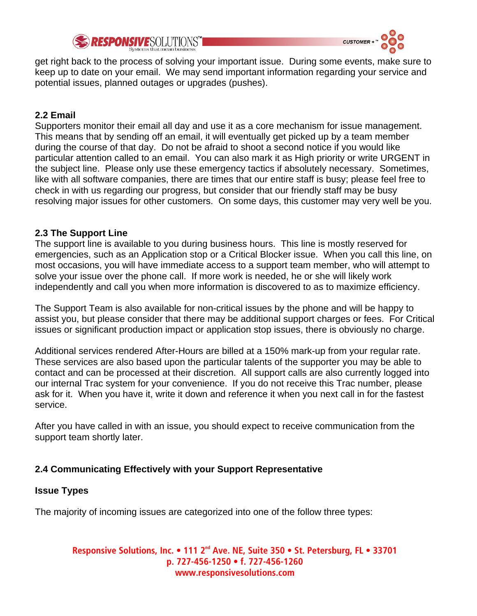



get right back to the process of solving your important issue. During some events, make sure to keep up to date on your email. We may send important information regarding your service and potential issues, planned outages or upgrades (pushes).

# **2.2 Email**

Supporters monitor their email all day and use it as a core mechanism for issue management. This means that by sending off an email, it will eventually get picked up by a team member during the course of that day. Do not be afraid to shoot a second notice if you would like particular attention called to an email. You can also mark it as High priority or write URGENT in the subject line. Please only use these emergency tactics if absolutely necessary. Sometimes, like with all software companies, there are times that our entire staff is busy; please feel free to check in with us regarding our progress, but consider that our friendly staff may be busy resolving major issues for other customers. On some days, this customer may very well be you.

#### **2.3 The Support Line**

The support line is available to you during business hours. This line is mostly reserved for emergencies, such as an Application stop or a Critical Blocker issue. When you call this line, on most occasions, you will have immediate access to a support team member, who will attempt to solve your issue over the phone call. If more work is needed, he or she will likely work independently and call you when more information is discovered to as to maximize efficiency.

The Support Team is also available for non-critical issues by the phone and will be happy to assist you, but please consider that there may be additional support charges or fees. For Critical issues or significant production impact or application stop issues, there is obviously no charge.

Additional services rendered After-Hours are billed at a 150% mark-up from your regular rate. These services are also based upon the particular talents of the supporter you may be able to contact and can be processed at their discretion. All support calls are also currently logged into our internal Trac system for your convenience. If you do not receive this Trac number, please ask for it. When you have it, write it down and reference it when you next call in for the fastest service.

After you have called in with an issue, you should expect to receive communication from the support team shortly later.

# **2.4 Communicating Effectively with your Support Representative**

# **Issue Types**

The majority of incoming issues are categorized into one of the follow three types: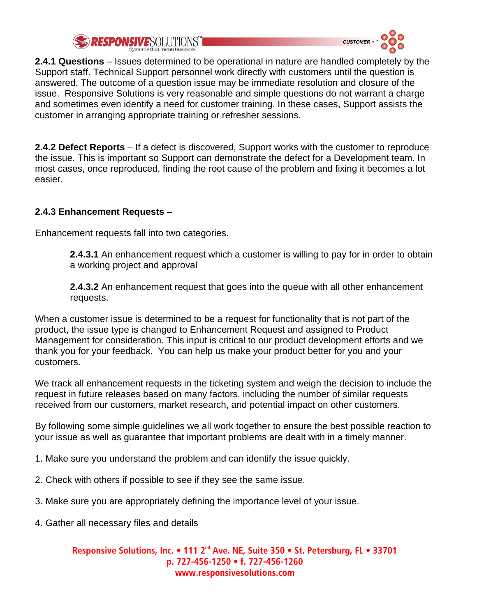



**2.4.1 Questions** – Issues determined to be operational in nature are handled completely by the Support staff. Technical Support personnel work directly with customers until the question is answered. The outcome of a question issue may be immediate resolution and closure of the issue. Responsive Solutions is very reasonable and simple questions do not warrant a charge and sometimes even identify a need for customer training. In these cases, Support assists the customer in arranging appropriate training or refresher sessions.

**2.4.2 Defect Reports** – If a defect is discovered, Support works with the customer to reproduce the issue. This is important so Support can demonstrate the defect for a Development team. In most cases, once reproduced, finding the root cause of the problem and fixing it becomes a lot easier.

# **2.4.3 Enhancement Requests** –

Enhancement requests fall into two categories.

**2.4.3.1** An enhancement request which a customer is willing to pay for in order to obtain a working project and approval

**2.4.3.2** An enhancement request that goes into the queue with all other enhancement requests.

When a customer issue is determined to be a request for functionality that is not part of the product, the issue type is changed to Enhancement Request and assigned to Product Management for consideration. This input is critical to our product development efforts and we thank you for your feedback. You can help us make your product better for you and your customers.

We track all enhancement requests in the ticketing system and weigh the decision to include the request in future releases based on many factors, including the number of similar requests received from our customers, market research, and potential impact on other customers.

By following some simple guidelines we all work together to ensure the best possible reaction to your issue as well as guarantee that important problems are dealt with in a timely manner.

- 1. Make sure you understand the problem and can identify the issue quickly.
- 2. Check with others if possible to see if they see the same issue.
- 3. Make sure you are appropriately defining the importance level of your issue.
- 4. Gather all necessary files and details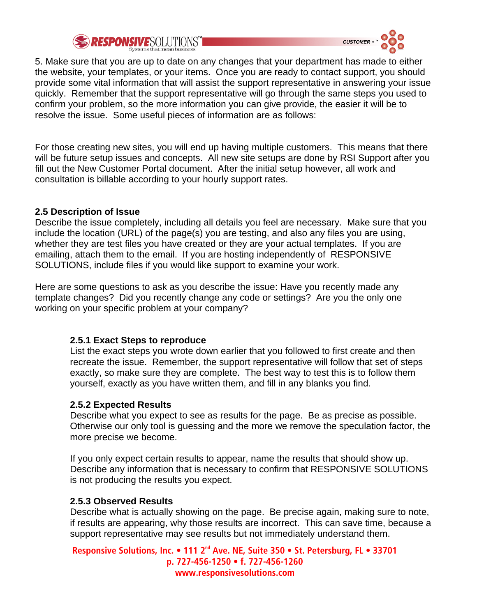# RESPONSIVESOLUTIONS"



5. Make sure that you are up to date on any changes that your department has made to either the website, your templates, or your items. Once you are ready to contact support, you should provide some vital information that will assist the support representative in answering your issue quickly. Remember that the support representative will go through the same steps you used to confirm your problem, so the more information you can give provide, the easier it will be to resolve the issue. Some useful pieces of information are as follows:

For those creating new sites, you will end up having multiple customers. This means that there will be future setup issues and concepts. All new site setups are done by RSI Support after you fill out the New Customer Portal document. After the initial setup however, all work and consultation is billable according to your hourly support rates.

#### **2.5 Description of Issue**

Describe the issue completely, including all details you feel are necessary. Make sure that you include the location (URL) of the page(s) you are testing, and also any files you are using, whether they are test files you have created or they are your actual templates. If you are emailing, attach them to the email. If you are hosting independently of RESPONSIVE SOLUTIONS, include files if you would like support to examine your work.

Here are some questions to ask as you describe the issue: Have you recently made any template changes? Did you recently change any code or settings? Are you the only one working on your specific problem at your company?

# **2.5.1 Exact Steps to reproduce**

List the exact steps you wrote down earlier that you followed to first create and then recreate the issue. Remember, the support representative will follow that set of steps exactly, so make sure they are complete. The best way to test this is to follow them yourself, exactly as you have written them, and fill in any blanks you find.

# **2.5.2 Expected Results**

Describe what you expect to see as results for the page. Be as precise as possible. Otherwise our only tool is guessing and the more we remove the speculation factor, the more precise we become.

If you only expect certain results to appear, name the results that should show up. Describe any information that is necessary to confirm that RESPONSIVE SOLUTIONS is not producing the results you expect.

# **2.5.3 Observed Results**

Describe what is actually showing on the page. Be precise again, making sure to note, if results are appearing, why those results are incorrect. This can save time, because a support representative may see results but not immediately understand them.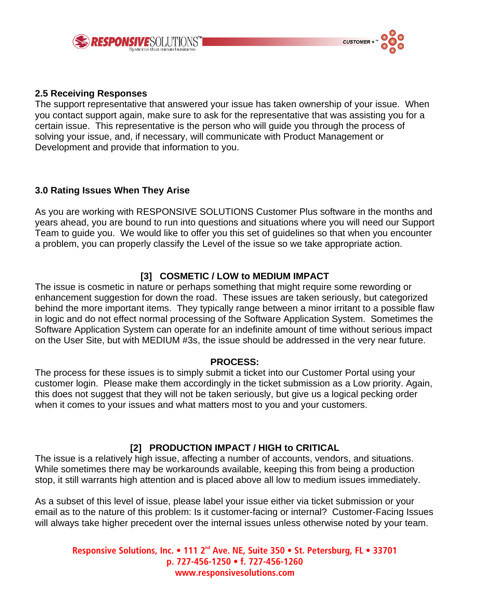



#### **2.5 Receiving Responses**

The support representative that answered your issue has taken ownership of your issue. When you contact support again, make sure to ask for the representative that was assisting you for a certain issue. This representative is the person who will guide you through the process of solving your issue, and, if necessary, will communicate with Product Management or Development and provide that information to you.

#### **3.0 Rating Issues When They Arise**

As you are working with RESPONSIVE SOLUTIONS Customer Plus software in the months and years ahead, you are bound to run into questions and situations where you will need our Support Team to guide you. We would like to offer you this set of guidelines so that when you encounter a problem, you can properly classify the Level of the issue so we take appropriate action.

# **[3] COSMETIC / LOW to MEDIUM IMPACT**

The issue is cosmetic in nature or perhaps something that might require some rewording or enhancement suggestion for down the road. These issues are taken seriously, but categorized behind the more important items. They typically range between a minor irritant to a possible flaw in logic and do not effect normal processing of the Software Application System. Sometimes the Software Application System can operate for an indefinite amount of time without serious impact on the User Site, but with MEDIUM #3s, the issue should be addressed in the very near future.

#### **PROCESS:**

The process for these issues is to simply submit a ticket into our Customer Portal using your customer login. Please make them accordingly in the ticket submission as a Low priority. Again, this does not suggest that they will not be taken seriously, but give us a logical pecking order when it comes to your issues and what matters most to you and your customers.

#### **[2] PRODUCTION IMPACT / HIGH to CRITICAL**

The issue is a relatively high issue, affecting a number of accounts, vendors, and situations. While sometimes there may be workarounds available, keeping this from being a production stop, it still warrants high attention and is placed above all low to medium issues immediately.

As a subset of this level of issue, please label your issue either via ticket submission or your email as to the nature of this problem: Is it customer-facing or internal? Customer-Facing Issues will always take higher precedent over the internal issues unless otherwise noted by your team.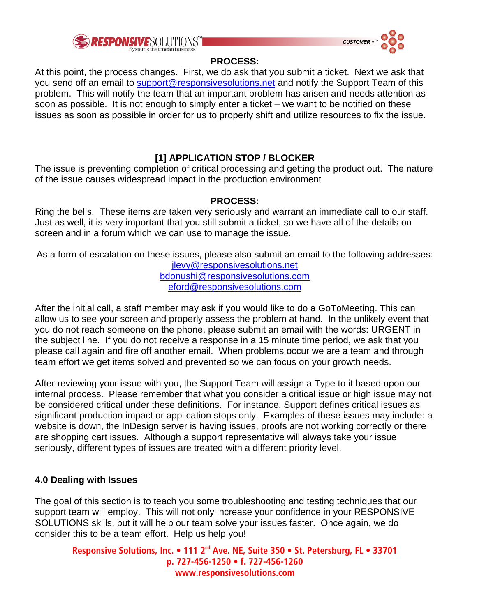



#### **PROCESS:**

At this point, the process changes. First, we do ask that you submit a ticket. Next we ask that you send off an email to [support@responsivesolutions.net](mailto:support@responsivesolutions.net) and notify the Support Team of this problem. This will notify the team that an important problem has arisen and needs attention as soon as possible. It is not enough to simply enter a ticket – we want to be notified on these issues as soon as possible in order for us to properly shift and utilize resources to fix the issue.

# **[1] APPLICATION STOP / BLOCKER**

The issue is preventing completion of critical processing and getting the product out. The nature of the issue causes widespread impact in the production environment

#### **PROCESS:**

Ring the bells. These items are taken very seriously and warrant an immediate call to our staff. Just as well, it is very important that you still submit a ticket, so we have all of the details on screen and in a forum which we can use to manage the issue.

As a form of escalation on these issues, please also submit an email to the following addresses: [jlevy@responsivesolutions.net](mailto:jlevy@responsivesolutions.net) [bdonushi@responsivesolutions.com](mailto:bdonushi@responsivesolutions.com)

[eford@responsivesolutions.com](mailto:eford@responsivesolutions.com)

After the initial call, a staff member may ask if you would like to do a GoToMeeting. This can allow us to see your screen and properly assess the problem at hand. In the unlikely event that you do not reach someone on the phone, please submit an email with the words: URGENT in the subject line. If you do not receive a response in a 15 minute time period, we ask that you please call again and fire off another email. When problems occur we are a team and through team effort we get items solved and prevented so we can focus on your growth needs.

After reviewing your issue with you, the Support Team will assign a Type to it based upon our internal process. Please remember that what you consider a critical issue or high issue may not be considered critical under these definitions. For instance, Support defines critical issues as significant production impact or application stops only. Examples of these issues may include: a website is down, the InDesign server is having issues, proofs are not working correctly or there are shopping cart issues. Although a support representative will always take your issue seriously, different types of issues are treated with a different priority level.

# **4.0 Dealing with Issues**

The goal of this section is to teach you some troubleshooting and testing techniques that our support team will employ. This will not only increase your confidence in your RESPONSIVE SOLUTIONS skills, but it will help our team solve your issues faster. Once again, we do consider this to be a team effort. Help us help you!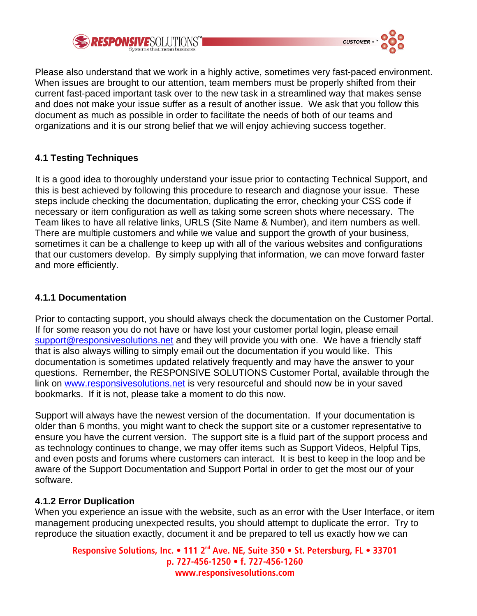



Please also understand that we work in a highly active, sometimes very fast-paced environment. When issues are brought to our attention, team members must be properly shifted from their current fast-paced important task over to the new task in a streamlined way that makes sense and does not make your issue suffer as a result of another issue. We ask that you follow this document as much as possible in order to facilitate the needs of both of our teams and organizations and it is our strong belief that we will enjoy achieving success together.

### **4.1 Testing Techniques**

It is a good idea to thoroughly understand your issue prior to contacting Technical Support, and this is best achieved by following this procedure to research and diagnose your issue. These steps include checking the documentation, duplicating the error, checking your CSS code if necessary or item configuration as well as taking some screen shots where necessary. The Team likes to have all relative links, URLS (Site Name & Number), and item numbers as well. There are multiple customers and while we value and support the growth of your business, sometimes it can be a challenge to keep up with all of the various websites and configurations that our customers develop. By simply supplying that information, we can move forward faster and more efficiently.

#### **4.1.1 Documentation**

Prior to contacting support, you should always check the documentation on the Customer Portal. If for some reason you do not have or have lost your customer portal login, please email [support@responsivesolutions.net](mailto:support@responsivesolutions.net) and they will provide you with one. We have a friendly staff that is also always willing to simply email out the documentation if you would like. This documentation is sometimes updated relatively frequently and may have the answer to your questions. Remember, the RESPONSIVE SOLUTIONS Customer Portal, available through the link on [www.responsivesolutions.net](http://www.responsivesolutions.net/) is very resourceful and should now be in your saved bookmarks. If it is not, please take a moment to do this now.

Support will always have the newest version of the documentation. If your documentation is older than 6 months, you might want to check the support site or a customer representative to ensure you have the current version. The support site is a fluid part of the support process and as technology continues to change, we may offer items such as Support Videos, Helpful Tips, and even posts and forums where customers can interact. It is best to keep in the loop and be aware of the Support Documentation and Support Portal in order to get the most our of your software.

#### **4.1.2 Error Duplication**

When you experience an issue with the website, such as an error with the User Interface, or item management producing unexpected results, you should attempt to duplicate the error. Try to reproduce the situation exactly, document it and be prepared to tell us exactly how we can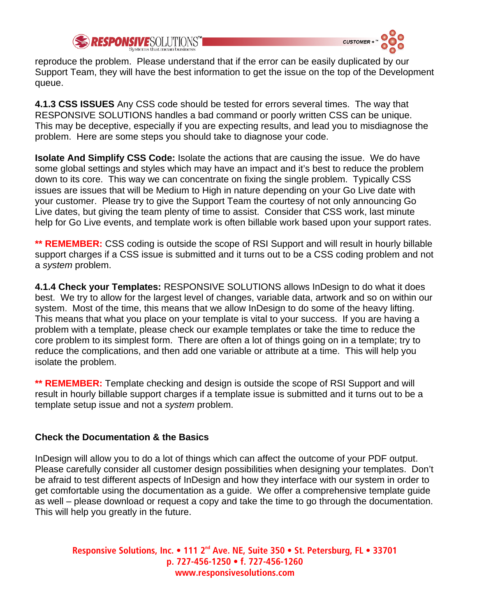



reproduce the problem. Please understand that if the error can be easily duplicated by our Support Team, they will have the best information to get the issue on the top of the Development queue.

**4.1.3 CSS ISSUES** Any CSS code should be tested for errors several times. The way that RESPONSIVE SOLUTIONS handles a bad command or poorly written CSS can be unique. This may be deceptive, especially if you are expecting results, and lead you to misdiagnose the problem. Here are some steps you should take to diagnose your code.

**Isolate And Simplify CSS Code:** Isolate the actions that are causing the issue. We do have some global settings and styles which may have an impact and it's best to reduce the problem down to its core. This way we can concentrate on fixing the single problem. Typically CSS issues are issues that will be Medium to High in nature depending on your Go Live date with your customer. Please try to give the Support Team the courtesy of not only announcing Go Live dates, but giving the team plenty of time to assist. Consider that CSS work, last minute help for Go Live events, and template work is often billable work based upon your support rates.

**\*\* REMEMBER:** CSS coding is outside the scope of RSI Support and will result in hourly billable support charges if a CSS issue is submitted and it turns out to be a CSS coding problem and not a *system* problem.

**4.1.4 Check your Templates:** RESPONSIVE SOLUTIONS allows InDesign to do what it does best. We try to allow for the largest level of changes, variable data, artwork and so on within our system. Most of the time, this means that we allow InDesign to do some of the heavy lifting. This means that what you place on your template is vital to your success. If you are having a problem with a template, please check our example templates or take the time to reduce the core problem to its simplest form. There are often a lot of things going on in a template; try to reduce the complications, and then add one variable or attribute at a time. This will help you isolate the problem.

**\*\* REMEMBER:** Template checking and design is outside the scope of RSI Support and will result in hourly billable support charges if a template issue is submitted and it turns out to be a template setup issue and not a *system* problem.

#### **Check the Documentation & the Basics**

InDesign will allow you to do a lot of things which can affect the outcome of your PDF output. Please carefully consider all customer design possibilities when designing your templates. Don't be afraid to test different aspects of InDesign and how they interface with our system in order to get comfortable using the documentation as a guide. We offer a comprehensive template guide as well – please download or request a copy and take the time to go through the documentation. This will help you greatly in the future.